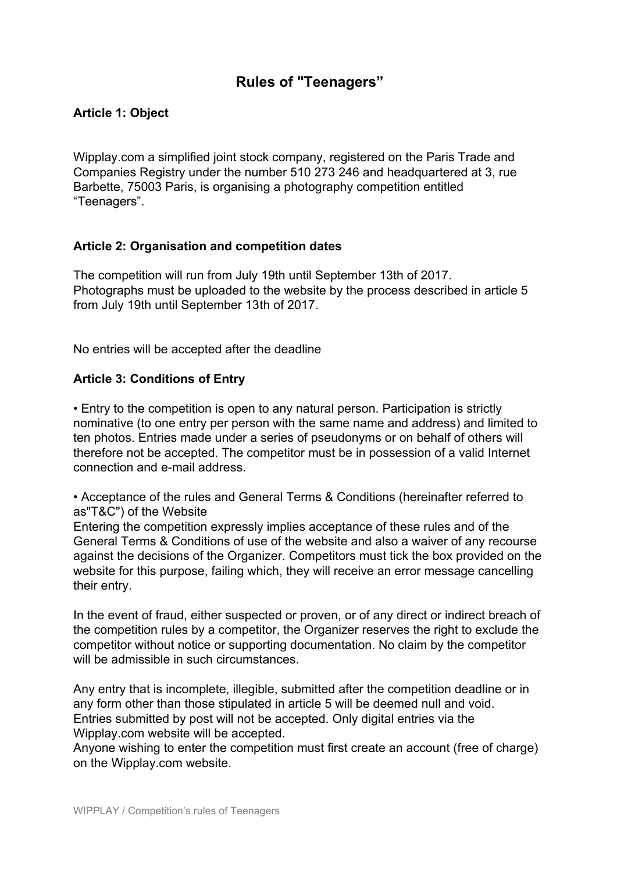# **Rules of "Teenagers"**

# **Article 1: Object**

Wipplay.com a simplified joint stock company, registered on the Paris Trade and Companies Registry under the number 510 273 246 and headquartered at 3, rue Barbette, 75003 Paris, is organising a photography competition entitled "Teenagers".

### **Article 2: Organisation and competition dates**

The competition will run from July 19th until September 13th of 2017. Photographs must be uploaded to the website by the process described in article 5 from July 19th until September 13th of 2017.

No entries will be accepted after the deadline

### **Article 3: Conditions of Entry**

• Entry to the competition is open to any natural person. Participation is strictly nominative (to one entry per person with the same name and address) and limited to ten photos. Entries made under a series of pseudonyms or on behalf of others will therefore not be accepted. The competitor must be in possession of a valid Internet connection and e-mail address.

• Acceptance of the rules and General Terms & Conditions (hereinafter referred to as"T&C") of the Website

Entering the competition expressly implies acceptance of these rules and of the General Terms & Conditions of use of the website and also a waiver of any recourse against the decisions of the Organizer. Competitors must tick the box provided on the website for this purpose, failing which, they will receive an error message cancelling their entry.

In the event of fraud, either suspected or proven, or of any direct or indirect breach of the competition rules by a competitor, the Organizer reserves the right to exclude the competitor without notice or supporting documentation. No claim by the competitor will be admissible in such circumstances.

Any entry that is incomplete, illegible, submitted after the competition deadline or in any form other than those stipulated in article 5 will be deemed null and void. Entries submitted by post will not be accepted. Only digital entries via the Wipplay.com website will be accepted.

Anyone wishing to enter the competition must first create an account (free of charge) on the Wipplay.com website.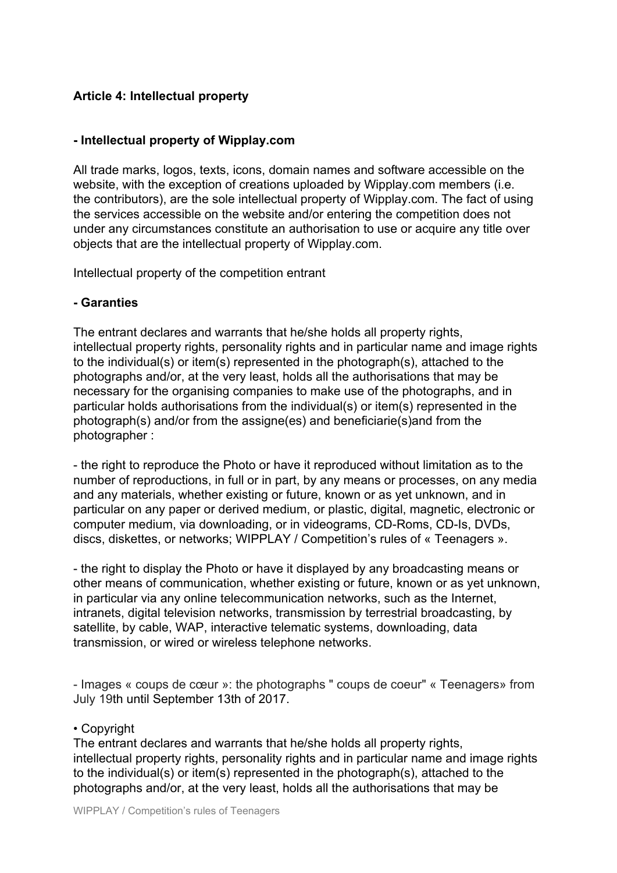# **Article 4: Intellectual property**

## **- Intellectual property of Wipplay.com**

All trade marks, logos, texts, icons, domain names and software accessible on the website, with the exception of creations uploaded by Wipplay.com members (i.e. the contributors), are the sole intellectual property of Wipplay.com. The fact of using the services accessible on the website and/or entering the competition does not under any circumstances constitute an authorisation to use or acquire any title over objects that are the intellectual property of Wipplay.com.

Intellectual property of the competition entrant

## **- Garanties**

The entrant declares and warrants that he/she holds all property rights, intellectual property rights, personality rights and in particular name and image rights to the individual(s) or item(s) represented in the photograph(s), attached to the photographs and/or, at the very least, holds all the authorisations that may be necessary for the organising companies to make use of the photographs, and in particular holds authorisations from the individual(s) or item(s) represented in the photograph(s) and/or from the assigne(es) and beneficiarie(s)and from the photographer :

- the right to reproduce the Photo or have it reproduced without limitation as to the number of reproductions, in full or in part, by any means or processes, on any media and any materials, whether existing or future, known or as yet unknown, and in particular on any paper or derived medium, or plastic, digital, magnetic, electronic or computer medium, via downloading, or in videograms, CD-Roms, CD-Is, DVDs, discs, diskettes, or networks; WIPPLAY / Competition's rules of « Teenagers ».

- the right to display the Photo or have it displayed by any broadcasting means or other means of communication, whether existing or future, known or as yet unknown, in particular via any online telecommunication networks, such as the Internet, intranets, digital television networks, transmission by terrestrial broadcasting, by satellite, by cable, WAP, interactive telematic systems, downloading, data transmission, or wired or wireless telephone networks.

- Images « coups de cœur »: the photographs " coups de coeur" « Teenagers» from July 19th until September 13th of 2017.

### • Copyright

The entrant declares and warrants that he/she holds all property rights, intellectual property rights, personality rights and in particular name and image rights to the individual(s) or item(s) represented in the photograph(s), attached to the photographs and/or, at the very least, holds all the authorisations that may be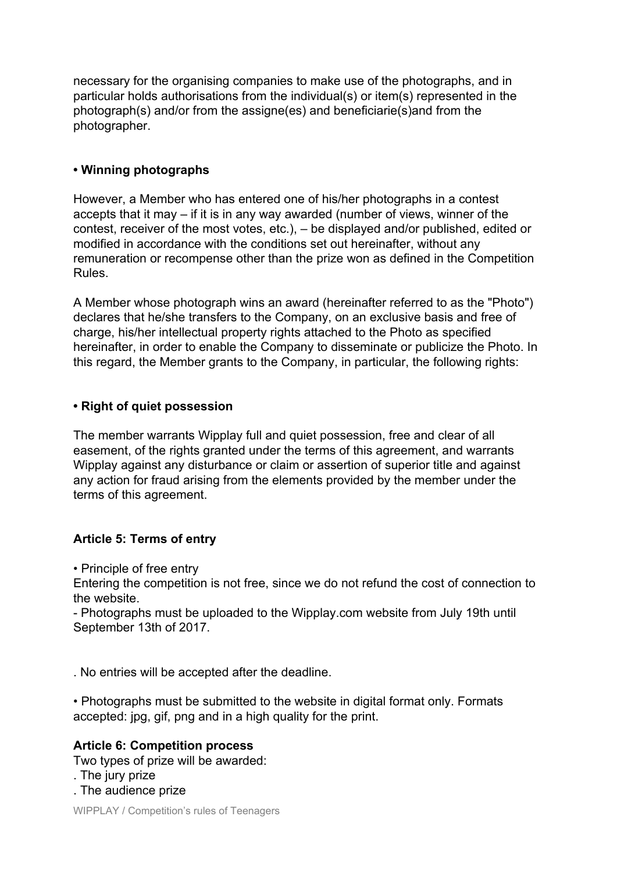necessary for the organising companies to make use of the photographs, and in particular holds authorisations from the individual(s) or item(s) represented in the photograph(s) and/or from the assigne(es) and beneficiarie(s)and from the photographer.

## **• Winning photographs**

However, a Member who has entered one of his/her photographs in a contest accepts that it may – if it is in any way awarded (number of views, winner of the contest, receiver of the most votes, etc.), – be displayed and/or published, edited or modified in accordance with the conditions set out hereinafter, without any remuneration or recompense other than the prize won as defined in the Competition Rules.

A Member whose photograph wins an award (hereinafter referred to as the "Photo") declares that he/she transfers to the Company, on an exclusive basis and free of charge, his/her intellectual property rights attached to the Photo as specified hereinafter, in order to enable the Company to disseminate or publicize the Photo. In this regard, the Member grants to the Company, in particular, the following rights:

## **• Right of quiet possession**

The member warrants Wipplay full and quiet possession, free and clear of all easement, of the rights granted under the terms of this agreement, and warrants Wipplay against any disturbance or claim or assertion of superior title and against any action for fraud arising from the elements provided by the member under the terms of this agreement.

# **Article 5: Terms of entry**

• Principle of free entry

Entering the competition is not free, since we do not refund the cost of connection to the website.

- Photographs must be uploaded to the Wipplay.com website from July 19th until September 13th of 2017.

. No entries will be accepted after the deadline.

• Photographs must be submitted to the website in digital format only. Formats accepted: jpg, gif, png and in a high quality for the print.

### **Article 6: Competition process**

Two types of prize will be awarded:

. The jury prize

. The audience prize

WIPPLAY / Competition's rules of Teenagers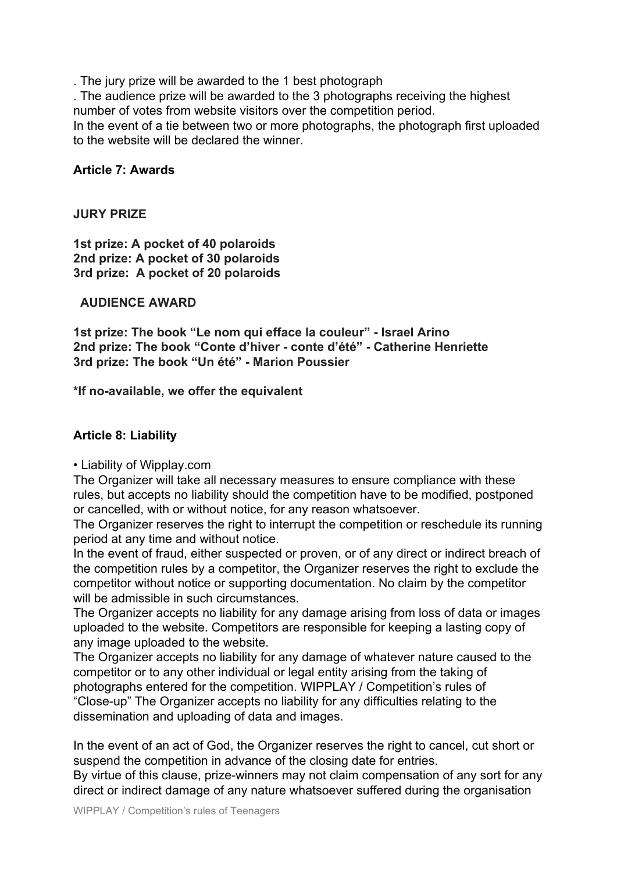. The jury prize will be awarded to the 1 best photograph

. The audience prize will be awarded to the 3 photographs receiving the highest number of votes from website visitors over the competition period.

In the event of a tie between two or more photographs, the photograph first uploaded to the website will be declared the winner.

### **Article 7: Awards**

#### **JURY PRIZE**

**1st prize: A pocket of 40 polaroids 2nd prize: A pocket of 30 polaroids 3rd prize: A pocket of 20 polaroids**

#### **AUDIENCE AWARD**

**1st prize: The book "Le nom qui efface la couleur" - Israel Arino 2nd prize: The book "Conte d'hiver - conte d'été" - Catherine Henriette 3rd prize: The book "Un été" - Marion Poussier**

**\*If no-available, we offer the equivalent**

### **Article 8: Liability**

#### • Liability of Wipplay.com

The Organizer will take all necessary measures to ensure compliance with these rules, but accepts no liability should the competition have to be modified, postponed or cancelled, with or without notice, for any reason whatsoever.

The Organizer reserves the right to interrupt the competition or reschedule its running period at any time and without notice.

In the event of fraud, either suspected or proven, or of any direct or indirect breach of the competition rules by a competitor, the Organizer reserves the right to exclude the competitor without notice or supporting documentation. No claim by the competitor will be admissible in such circumstances.

The Organizer accepts no liability for any damage arising from loss of data or images uploaded to the website. Competitors are responsible for keeping a lasting copy of any image uploaded to the website.

The Organizer accepts no liability for any damage of whatever nature caused to the competitor or to any other individual or legal entity arising from the taking of photographs entered for the competition. WIPPLAY / Competition's rules of "Close-up" The Organizer accepts no liability for any difficulties relating to the dissemination and uploading of data and images.

In the event of an act of God, the Organizer reserves the right to cancel, cut short or suspend the competition in advance of the closing date for entries.

By virtue of this clause, prize-winners may not claim compensation of any sort for any direct or indirect damage of any nature whatsoever suffered during the organisation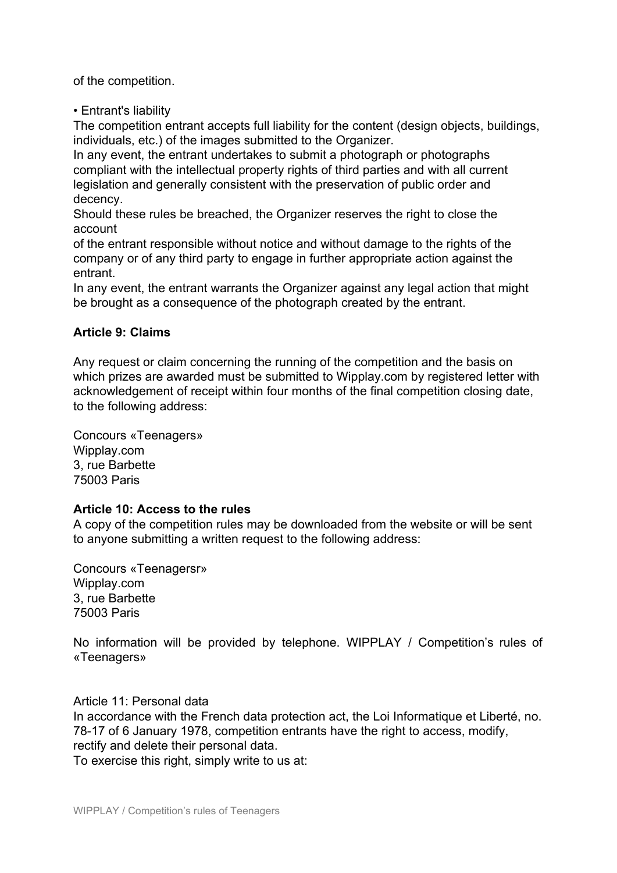of the competition.

• Entrant's liability

The competition entrant accepts full liability for the content (design objects, buildings, individuals, etc.) of the images submitted to the Organizer.

In any event, the entrant undertakes to submit a photograph or photographs compliant with the intellectual property rights of third parties and with all current legislation and generally consistent with the preservation of public order and decency.

Should these rules be breached, the Organizer reserves the right to close the account

of the entrant responsible without notice and without damage to the rights of the company or of any third party to engage in further appropriate action against the entrant.

In any event, the entrant warrants the Organizer against any legal action that might be brought as a consequence of the photograph created by the entrant.

# **Article 9: Claims**

Any request or claim concerning the running of the competition and the basis on which prizes are awarded must be submitted to Wipplay.com by registered letter with acknowledgement of receipt within four months of the final competition closing date, to the following address:

Concours «Teenagers» Wipplay.com 3, rue Barbette 75003 Paris

# **Article 10: Access to the rules**

A copy of the competition rules may be downloaded from the website or will be sent to anyone submitting a written request to the following address:

Concours «Teenagersr» Wipplay.com 3, rue Barbette 75003 Paris

No information will be provided by telephone. WIPPLAY / Competition's rules of «Teenagers»

### Article 11: Personal data

In accordance with the French data protection act, the Loi Informatique et Liberté, no. 78-17 of 6 January 1978, competition entrants have the right to access, modify, rectify and delete their personal data.

To exercise this right, simply write to us at: